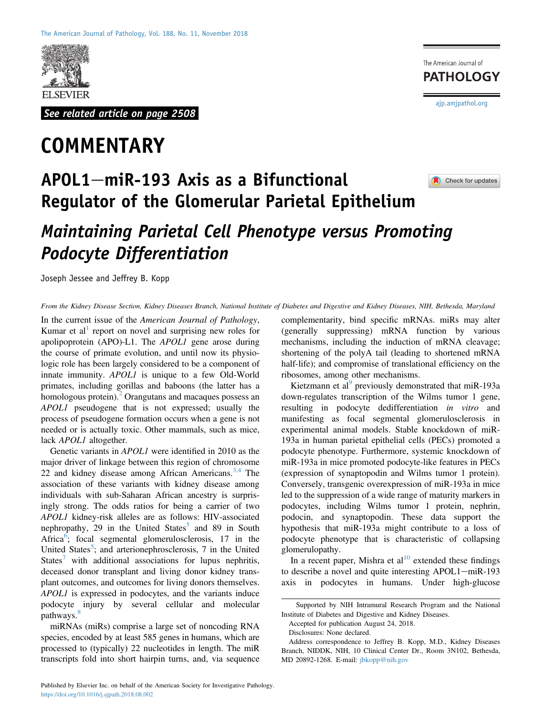

See related article on page 2508

# **COMMENTARY**

The American Journal of **PATHOLOGY** [ajp.amjpathol.org](http://ajp.amjpathol.org)

Check for updates

## $APOL1$ -miR-193 Axis as a Bifunctional Regulator of the Glomerular Parietal Epithelium

## Maintaining Parietal Cell Phenotype versus Promoting Podocyte Differentiation

Joseph Jessee and Jeffrey B. Kopp

From the Kidney Disease Section, Kidney Diseases Branch, National Institute of Diabetes and Digestive and Kidney Diseases, NIH, Bethesda, Maryland

In the current issue of the American Journal of Pathology, Kumar et al<sup>[1](#page-1-0)</sup> report on novel and surprising new roles for apolipoprotein (APO)-L1. The APOL1 gene arose during the course of primate evolution, and until now its physiologic role has been largely considered to be a component of innate immunity. APOL1 is unique to a few Old-World primates, including gorillas and baboons (the latter has a homologous protein). $^2$  $^2$  Orangutans and macaques possess an APOL1 pseudogene that is not expressed; usually the process of pseudogene formation occurs when a gene is not needed or is actually toxic. Other mammals, such as mice, lack **APOL1** altogether.

Genetic variants in APOL1 were identified in 2010 as the major driver of linkage between this region of chromosome 22 and kidney disease among African Americans.<sup>[3,4](#page-1-2)</sup> The association of these variants with kidney disease among individuals with sub-Saharan African ancestry is surprisingly strong. The odds ratios for being a carrier of two APOL1 kidney-risk alleles are as follows: HIV-associated nephropathy, 29 in the United States<sup>[5](#page-1-3)</sup> and 89 in South Africa<sup>[6](#page-1-4)</sup>; focal segmental glomerulosclerosis, 17 in the United States<sup>[5](#page-1-3)</sup>; and arterionephrosclerosis, 7 in the United States<sup>[7](#page-1-5)</sup> with additional associations for lupus nephritis, deceased donor transplant and living donor kidney transplant outcomes, and outcomes for living donors themselves. APOL1 is expressed in podocytes, and the variants induce podocyte injury by several cellular and molecular pathways.<sup>[8](#page-1-6)</sup>

miRNAs (miRs) comprise a large set of noncoding RNA species, encoded by at least 585 genes in humans, which are processed to (typically) 22 nucleotides in length. The miR transcripts fold into short hairpin turns, and, via sequence complementarity, bind specific mRNAs. miRs may alter (generally suppressing) mRNA function by various mechanisms, including the induction of mRNA cleavage; shortening of the polyA tail (leading to shortened mRNA half-life); and compromise of translational efficiency on the ribosomes, among other mechanisms.

Kietzmann et al<sup>[9](#page-1-7)</sup> previously demonstrated that miR-193a down-regulates transcription of the Wilms tumor 1 gene, resulting in podocyte dedifferentiation in vitro and manifesting as focal segmental glomerulosclerosis in experimental animal models. Stable knockdown of miR-193a in human parietal epithelial cells (PECs) promoted a podocyte phenotype. Furthermore, systemic knockdown of miR-193a in mice promoted podocyte-like features in PECs (expression of synaptopodin and Wilms tumor 1 protein). Conversely, transgenic overexpression of miR-193a in mice led to the suppression of a wide range of maturity markers in podocytes, including Wilms tumor 1 protein, nephrin, podocin, and synaptopodin. These data support the hypothesis that miR-193a might contribute to a loss of podocyte phenotype that is characteristic of collapsing glomerulopathy.

In a recent paper, Mishra et  $al<sup>10</sup>$  $al<sup>10</sup>$  $al<sup>10</sup>$  extended these findings to describe a novel and quite interesting APOL1-miR-193 axis in podocytes in humans. Under high-glucose

Accepted for publication August 24, 2018.

Disclosures: None declared.

Supported by NIH Intramural Research Program and the National Institute of Diabetes and Digestive and Kidney Diseases.

Address correspondence to Jeffrey B. Kopp, M.D., Kidney Diseases Branch, NIDDK, NIH, 10 Clinical Center Dr., Room 3N102, Bethesda, MD 20892-1268. E-mail: [jbkopp@nih.gov](mailto:jbkopp@nih.gov)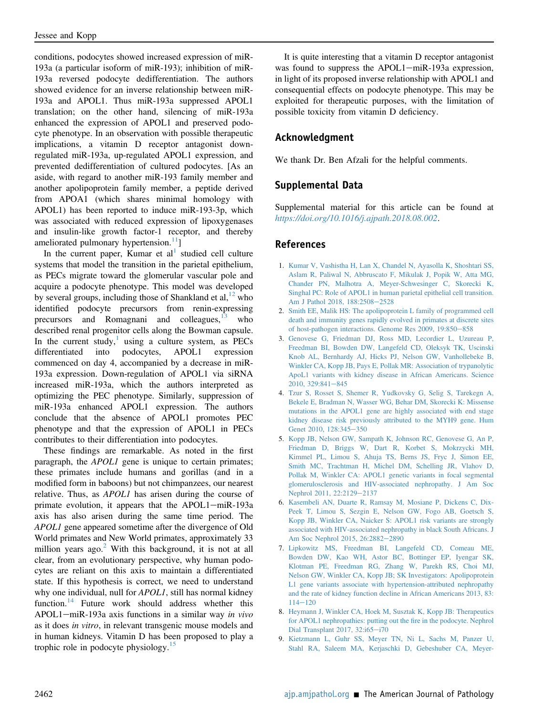conditions, podocytes showed increased expression of miR-193a (a particular isoform of miR-193); inhibition of miR-193a reversed podocyte dedifferentiation. The authors showed evidence for an inverse relationship between miR-193a and APOL1. Thus miR-193a suppressed APOL1 translation; on the other hand, silencing of miR-193a enhanced the expression of APOL1 and preserved podocyte phenotype. In an observation with possible therapeutic implications, a vitamin D receptor antagonist downregulated miR-193a, up-regulated APOL1 expression, and prevented dedifferentiation of cultured podocytes. [As an aside, with regard to another miR-193 family member and another apolipoprotein family member, a peptide derived from APOA1 (which shares minimal homology with APOL1) has been reported to induce miR-193-3p, which was associated with reduced expression of lipoxygenases and insulin-like growth factor-1 receptor, and thereby ameliorated pulmonary hypertension.<sup>[11](#page-2-1)</sup>]

In the current paper, Kumar et  $al<sup>1</sup>$  $al<sup>1</sup>$  $al<sup>1</sup>$  studied cell culture systems that model the transition in the parietal epithelium, as PECs migrate toward the glomerular vascular pole and acquire a podocyte phenotype. This model was developed by several groups, including those of Shankland et  $al<sub>1</sub><sup>12</sup>$  $al<sub>1</sub><sup>12</sup>$  $al<sub>1</sub><sup>12</sup>$  who identified podocyte precursors from renin-expressing precursors and Romagnani and colleagues, $13$  who described renal progenitor cells along the Bowman capsule. In the current study, $\frac{1}{1}$  $\frac{1}{1}$  $\frac{1}{1}$  using a culture system, as PECs differentiated into podocytes, APOL1 expression commenced on day 4, accompanied by a decrease in miR-193a expression. Down-regulation of APOL1 via siRNA increased miR-193a, which the authors interpreted as optimizing the PEC phenotype. Similarly, suppression of miR-193a enhanced APOL1 expression. The authors conclude that the absence of APOL1 promotes PEC phenotype and that the expression of APOL1 in PECs contributes to their differentiation into podocytes.

These findings are remarkable. As noted in the first paragraph, the *APOL1* gene is unique to certain primates; these primates include humans and gorillas (and in a modified form in baboons) but not chimpanzees, our nearest relative. Thus, as APOL1 has arisen during the course of primate evolution, it appears that the APOL1-miR-193a axis has also arisen during the same time period. The APOL1 gene appeared sometime after the divergence of Old World primates and New World primates, approximately 33 million years  $ago<sup>2</sup>$  $ago<sup>2</sup>$  $ago<sup>2</sup>$ . With this background, it is not at all clear, from an evolutionary perspective, why human podocytes are reliant on this axis to maintain a differentiated state. If this hypothesis is correct, we need to understand why one individual, null for *APOL1*, still has normal kidney function.<sup>[14](#page-2-4)</sup> Future work should address whether this APOL1-miR-193a axis functions in a similar way in vivo as it does in vitro, in relevant transgenic mouse models and in human kidneys. Vitamin D has been proposed to play a trophic role in podocyte physiology.[15](#page-2-5)

It is quite interesting that a vitamin D receptor antagonist was found to suppress the  $APOL1$ -miR-193a expression, in light of its proposed inverse relationship with APOL1 and consequential effects on podocyte phenotype. This may be exploited for therapeutic purposes, with the limitation of possible toxicity from vitamin D deficiency.

#### Acknowledgment

We thank Dr. Ben Afzali for the helpful comments.

### Supplemental Data

Supplemental material for this article can be found at <https://doi.org/10.1016/j.ajpath.2018.08.002>.

#### References

- <span id="page-1-0"></span>1. [Kumar V, Vashistha H, Lan X, Chandel N, Ayasolla K, Shoshtari SS,](http://refhub.elsevier.com/S0002-9440(18)30698-9/sref1) [Aslam R, Paliwal N, Abbruscato F, Mikulak J, Popik W, Atta MG,](http://refhub.elsevier.com/S0002-9440(18)30698-9/sref1) [Chander PN, Malhotra A, Meyer-Schwesinger C, Skorecki K,](http://refhub.elsevier.com/S0002-9440(18)30698-9/sref1) [Singhal PC: Role of APOL1 in human parietal epithelial cell transition.](http://refhub.elsevier.com/S0002-9440(18)30698-9/sref1) [Am J Pathol 2018, 188:2508](http://refhub.elsevier.com/S0002-9440(18)30698-9/sref1)-[2528](http://refhub.elsevier.com/S0002-9440(18)30698-9/sref1)
- <span id="page-1-1"></span>2. [Smith EE, Malik HS: The apolipoprotein L family of programmed cell](http://refhub.elsevier.com/S0002-9440(18)30698-9/sref2) [death and immunity genes rapidly evolved in primates at discrete sites](http://refhub.elsevier.com/S0002-9440(18)30698-9/sref2) [of host-pathogen interactions. Genome Res 2009, 19:850](http://refhub.elsevier.com/S0002-9440(18)30698-9/sref2)-[858](http://refhub.elsevier.com/S0002-9440(18)30698-9/sref2)
- <span id="page-1-2"></span>3. [Genovese G, Friedman DJ, Ross MD, Lecordier L, Uzureau P,](http://refhub.elsevier.com/S0002-9440(18)30698-9/sref3) [Freedman BI, Bowden DW, Langefeld CD, Oleksyk TK, Uscinski](http://refhub.elsevier.com/S0002-9440(18)30698-9/sref3) [Knob AL, Bernhardy AJ, Hicks PJ, Nelson GW, Vanhollebeke B,](http://refhub.elsevier.com/S0002-9440(18)30698-9/sref3) [Winkler CA, Kopp JB, Pays E, Pollak MR: Association of trypanolytic](http://refhub.elsevier.com/S0002-9440(18)30698-9/sref3) [ApoL1 variants with kidney disease in African Americans. Science](http://refhub.elsevier.com/S0002-9440(18)30698-9/sref3) [2010, 329:841](http://refhub.elsevier.com/S0002-9440(18)30698-9/sref3)-[845](http://refhub.elsevier.com/S0002-9440(18)30698-9/sref3)
- 4. [Tzur S, Rosset S, Shemer R, Yudkovsky G, Selig S, Tarekegn A,](http://refhub.elsevier.com/S0002-9440(18)30698-9/sref4) [Bekele E, Bradman N, Wasser WG, Behar DM, Skorecki K: Missense](http://refhub.elsevier.com/S0002-9440(18)30698-9/sref4) [mutations in the APOL1 gene are highly associated with end stage](http://refhub.elsevier.com/S0002-9440(18)30698-9/sref4) [kidney disease risk previously attributed to the MYH9 gene. Hum](http://refhub.elsevier.com/S0002-9440(18)30698-9/sref4) [Genet 2010, 128:345](http://refhub.elsevier.com/S0002-9440(18)30698-9/sref4)-[350](http://refhub.elsevier.com/S0002-9440(18)30698-9/sref4)
- <span id="page-1-3"></span>5. [Kopp JB, Nelson GW, Sampath K, Johnson RC, Genovese G, An P,](http://refhub.elsevier.com/S0002-9440(18)30698-9/sref5) [Friedman D, Briggs W, Dart R, Korbet S, Mokrzycki MH,](http://refhub.elsevier.com/S0002-9440(18)30698-9/sref5) [Kimmel PL, Limou S, Ahuja TS, Berns JS, Fryc J, Simon EE,](http://refhub.elsevier.com/S0002-9440(18)30698-9/sref5) [Smith MC, Trachtman H, Michel DM, Schelling JR, Vlahov D,](http://refhub.elsevier.com/S0002-9440(18)30698-9/sref5) [Pollak M, Winkler CA: APOL1 genetic variants in focal segmental](http://refhub.elsevier.com/S0002-9440(18)30698-9/sref5) [glomerulosclerosis and HIV-associated nephropathy. J Am Soc](http://refhub.elsevier.com/S0002-9440(18)30698-9/sref5) [Nephrol 2011, 22:2129](http://refhub.elsevier.com/S0002-9440(18)30698-9/sref5)-[2137](http://refhub.elsevier.com/S0002-9440(18)30698-9/sref5)
- <span id="page-1-4"></span>6. [Kasembeli AN, Duarte R, Ramsay M, Mosiane P, Dickens C, Dix-](http://refhub.elsevier.com/S0002-9440(18)30698-9/sref6)[Peek T, Limou S, Sezgin E, Nelson GW, Fogo AB, Goetsch S,](http://refhub.elsevier.com/S0002-9440(18)30698-9/sref6) [Kopp JB, Winkler CA, Naicker S: APOL1 risk variants are strongly](http://refhub.elsevier.com/S0002-9440(18)30698-9/sref6) [associated with HIV-associated nephropathy in black South Africans. J](http://refhub.elsevier.com/S0002-9440(18)30698-9/sref6) [Am Soc Nephrol 2015, 26:2882](http://refhub.elsevier.com/S0002-9440(18)30698-9/sref6)-[2890](http://refhub.elsevier.com/S0002-9440(18)30698-9/sref6)
- <span id="page-1-5"></span>7. [Lipkowitz MS, Freedman BI, Langefeld CD, Comeau ME,](http://refhub.elsevier.com/S0002-9440(18)30698-9/sref16) [Bowden DW, Kao WH, Astor BC, Bottinger EP, Iyengar SK,](http://refhub.elsevier.com/S0002-9440(18)30698-9/sref16) [Klotman PE, Freedman RG, Zhang W, Parekh RS, Choi MJ,](http://refhub.elsevier.com/S0002-9440(18)30698-9/sref16) [Nelson GW, Winkler CA, Kopp JB; SK Investigators: Apolipoprotein](http://refhub.elsevier.com/S0002-9440(18)30698-9/sref16) [L1 gene variants associate with hypertension-attributed nephropathy](http://refhub.elsevier.com/S0002-9440(18)30698-9/sref16) [and the rate of kidney function decline in African Americans 2013, 83:](http://refhub.elsevier.com/S0002-9440(18)30698-9/sref16)  $114 - 120$  $114 - 120$  $114 - 120$
- <span id="page-1-6"></span>8. [Heymann J, Winkler CA, Hoek M, Susztak K, Kopp JB: Therapeutics](http://refhub.elsevier.com/S0002-9440(18)30698-9/sref7) [for APOL1 nephropathies: putting out the](http://refhub.elsevier.com/S0002-9440(18)30698-9/sref7) fire in the podocyte. Nephrol [Dial Transplant 2017, 32:i65](http://refhub.elsevier.com/S0002-9440(18)30698-9/sref7)-[i70](http://refhub.elsevier.com/S0002-9440(18)30698-9/sref7)
- <span id="page-1-7"></span>9. [Kietzmann L, Guhr SS, Meyer TN, Ni L, Sachs M, Panzer U,](http://refhub.elsevier.com/S0002-9440(18)30698-9/sref8) [Stahl RA, Saleem MA, Kerjaschki D, Gebeshuber CA, Meyer-](http://refhub.elsevier.com/S0002-9440(18)30698-9/sref8)